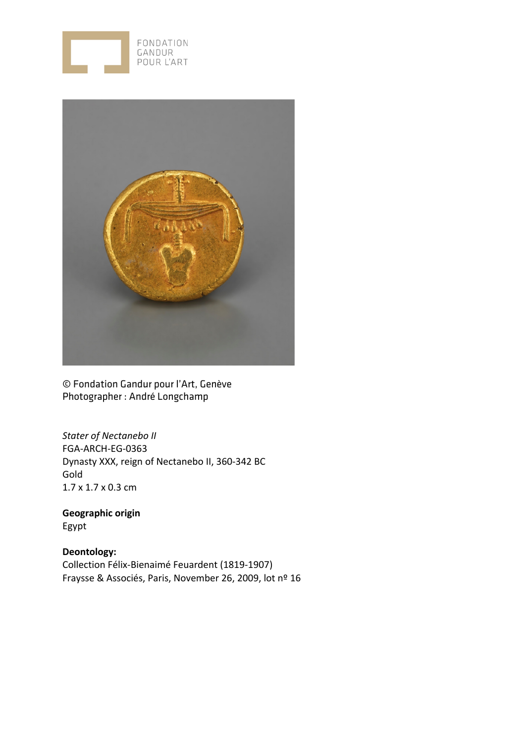



© Fondation Gandur pour l'Art, Genève Photographer : André Longchamp

*Stater of Nectanebo II* FGA-ARCH-EG-0363 Dynasty XXX, reign of Nectanebo II, 360-342 BC Gold 1.7 x 1.7 x 0.3 cm

**Geographic origin** Egypt

**Deontology:** Collection Félix-Bienaimé Feuardent (1819-1907) Fraysse & Associés, Paris, November 26, 2009, lot nº 16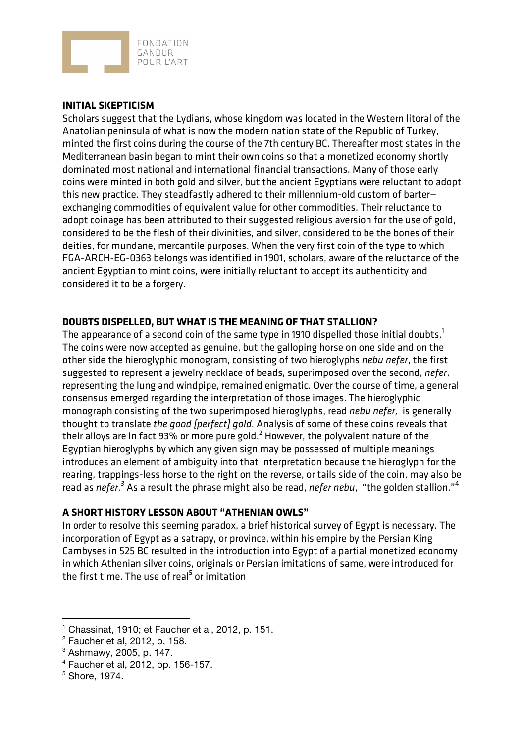

## **INITIAL SKEPTICISM**

Scholars suggest that the Lydians, whose kingdom was located in the Western litoral of the Anatolian peninsula of what is now the modern nation state of the Republic of Turkey, minted the first coins during the course of the 7th century BC. Thereafter most states in the Mediterranean basin began to mint their own coins so that a monetized economy shortly dominated most national and international financial transactions. Many of those early coins were minted in both gold and silver, but the ancient Egyptians were reluctant to adopt this new practice. They steadfastly adhered to their millennium-old custom of barter exchanging commodities of equivalent value for other commodities. Their reluctance to adopt coinage has been attributed to their suggested religious aversion for the use of gold, considered to be the flesh of their divinities, and silver, considered to be the bones of their deities, for mundane, mercantile purposes. When the very first coin of the type to which FGA-ARCH-EG-0363 belongs was identified in 1901, scholars, aware of the reluctance of the ancient Egyptian to mint coins, were initially reluctant to accept its authenticity and considered it to be a forgery.

## **DOUBTS DISPELLED, BUT WHAT IS THE MEANING OF THAT STALLION?**

The appearance of a second coin of the same type in 1910 dispelled those initial doubts.<sup>1</sup> The coins were now accepted as genuine, but the galloping horse on one side and on the other side the hieroglyphic monogram, consisting of two hieroglyphs *nebu nefer*, the first suggested to represent a jewelry necklace of beads, superimposed over the second, *nefer*, representing the lung and windpipe, remained enigmatic. Over the course of time, a general consensus emerged regarding the interpretation of those images. The hieroglyphic monograph consisting of the two superimposed hieroglyphs, read *nebu nefer,* is generally thought to translate *the good [perfect] gold.* Analysis of some of these coins reveals that their alloys are in fact 93% or more pure gold.<sup>2</sup> However, the polyvalent nature of the Egyptian hieroglyphs by which any given sign may be possessed of multiple meanings introduces an element of ambiguity into that interpretation because the hieroglyph for the rearing, trappings-less horse to the right on the reverse, or tails side of the coin, may also be read as *nefer.3* As a result the phrase might also be read, *nefer nebu*, "the golden stallion."<sup>4</sup>

## **A SHORT HISTORY LESSON ABOUT "ATHENIAN OWLS"**

In order to resolve this seeming paradox, a brief historical survey of Egypt is necessary. The incorporation of Egypt as a satrapy, or province, within his empire by the Persian King Cambyses in 525 BC resulted in the introduction into Egypt of a partial monetized economy in which Athenian silver coins, originals or Persian imitations of same, were introduced for the first time. The use of real<sup>5</sup> or imitation

 $\overline{a}$ 

 $<sup>1</sup>$  Chassinat, 1910; et Faucher et al, 2012, p. 151.</sup>

 $2$  Faucher et al, 2012, p. 158.

<sup>3</sup> Ashmawy, 2005, p. 147.

<sup>4</sup> Faucher et al, 2012, pp. 156-157.

<sup>5</sup> Shore, 1974.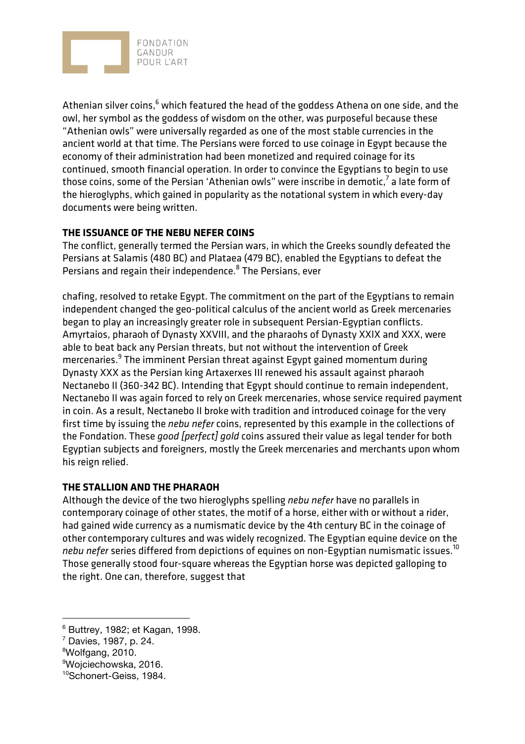

Athenian silver coins, $6$  which featured the head of the goddess Athena on one side, and the owl, her symbol as the goddess of wisdom on the other, was purposeful because these "Athenian owls" were universally regarded as one of the most stable currencies in the ancient world at that time. The Persians were forced to use coinage in Egypt because the economy of their administration had been monetized and required coinage for its continued, smooth financial operation. In order to convince the Egyptians to begin to use those coins, some of the Persian 'Athenian owls" were inscribe in demotic, $7$  a late form of the hieroglyphs, which gained in popularity as the notational system in which every-day documents were being written.

## **THE ISSUANCE OF THE NEBU NEFER COINS**

The conflict, generally termed the Persian wars, in which the Greeks soundly defeated the Persians at Salamis (480 BC) and Plataea (479 BC), enabled the Egyptians to defeat the Persians and regain their independence.<sup>8</sup> The Persians, ever

chafing, resolved to retake Egypt. The commitment on the part of the Egyptians to remain independent changed the geo-political calculus of the ancient world as Greek mercenaries began to play an increasingly greater role in subsequent Persian-Egyptian conflicts. Amyrtaios, pharaoh of Dynasty XXVIII, and the pharaohs of Dynasty XXIX and XXX, were able to beat back any Persian threats, but not without the intervention of Greek mercenaries.<sup>9</sup> The imminent Persian threat against Egypt gained momentum during Dynasty XXX as the Persian king Artaxerxes III renewed his assault against pharaoh Nectanebo II (360-342 BC). Intending that Egypt should continue to remain independent, Nectanebo II was again forced to rely on Greek mercenaries, whose service required payment in coin. As a result, Nectanebo II broke with tradition and introduced coinage for the very first time by issuing the *nebu nefer* coins, represented by this example in the collections of the Fondation. These *good [perfect] gold* coins assured their value as legal tender for both Egyptian subjects and foreigners, mostly the Greek mercenaries and merchants upon whom his reign relied.

## **THE STALLION AND THE PHARAOH**

Although the device of the two hieroglyphs spelling *nebu nefer* have no parallels in contemporary coinage of other states, the motif of a horse, either with or without a rider, had gained wide currency as a numismatic device by the 4th century BC in the coinage of other contemporary cultures and was widely recognized. The Egyptian equine device on the *nebu nefer* series differed from depictions of equines on non-Egyptian numismatic issues.<sup>10</sup> Those generally stood four-square whereas the Egyptian horse was depicted galloping to the right. One can, therefore, suggest that

 $\overline{a}$ 

<sup>6</sup> Buttrey, 1982; et Kagan, 1998.

 $7$  Davies, 1987, p. 24.

<sup>8</sup> Wolfgang, 2010.

<sup>9</sup> Wojciechowska, 2016.

<sup>10</sup>Schonert-Geiss, 1984.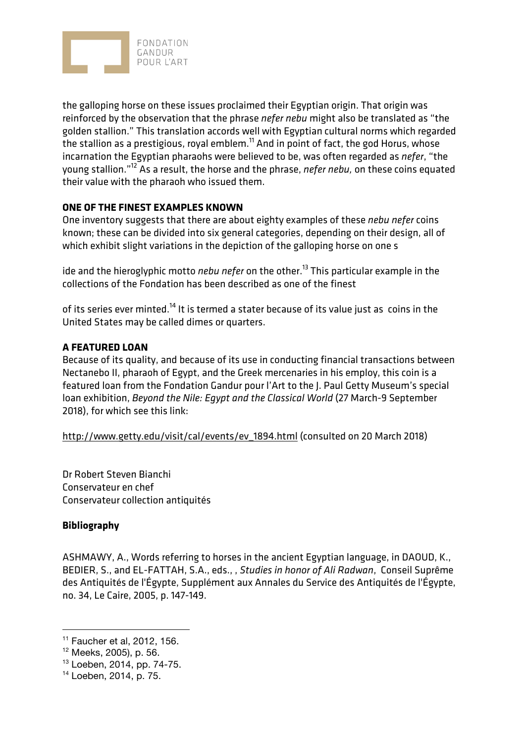

the galloping horse on these issues proclaimed their Egyptian origin. That origin was reinforced by the observation that the phrase *nefer nebu* might also be translated as "the golden stallion." This translation accords well with Egyptian cultural norms which regarded the stallion as a prestigious, royal emblem.<sup>11</sup> And in point of fact, the god Horus, whose incarnation the Egyptian pharaohs were believed to be, was often regarded as *nefer*, "the young stallion."12 As a result, the horse and the phrase, *nefer nebu,* on these coins equated their value with the pharaoh who issued them.

# **ONE OF THE FINEST EXAMPLES KNOWN**

One inventory suggests that there are about eighty examples of these *nebu nefer* coins known; these can be divided into six general categories, depending on their design, all of which exhibit slight variations in the depiction of the galloping horse on one s

ide and the hieroglyphic motto *nebu nefer* on the other.<sup>13</sup> This particular example in the collections of the Fondation has been described as one of the finest

of its series ever minted.<sup>14</sup> It is termed a stater because of its value just as coins in the United States may be called dimes or quarters.

# **A FEATURED LOAN**

Because of its quality, and because of its use in conducting financial transactions between Nectanebo II, pharaoh of Egypt, and the Greek mercenaries in his employ, this coin is a featured loan from the Fondation Gandur pour l'Art to the J. Paul Getty Museum's special loan exhibition, *Beyond the Nile: Egypt and the Classical World* (27 March-9 September 2018), for which see this link:

http://www.getty.edu/visit/cal/events/ev\_1894.html (consulted on 20 March 2018)

Dr Robert Steven Bianchi Conservateur en chef Conservateur collection antiquités

## **Bibliography**

 $\overline{a}$ 

ASHMAWY, A., Words referring to horses in the ancient Egyptian language, in DAOUD, K., BEDIER, S., and EL-FATTAH, S.A., eds., , *Studies in honor of Ali Radwan*, Conseil Suprême des Antiquités de l'Égypte, Supplément aux Annales du Service des Antiquités de l'Égypte, no. 34, Le Caire, 2005, p. 147-149.

<sup>11</sup> Faucher et al, 2012, 156.

<sup>12</sup> Meeks, 2005), p. 56.

<sup>13</sup> Loeben, 2014, pp. 74-75.

<sup>14</sup> Loeben, 2014, p. 75.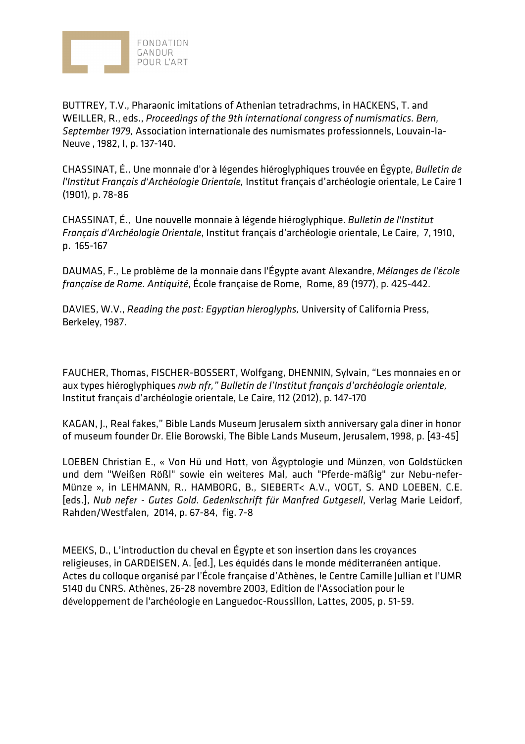

BUTTREY, T.V., Pharaonic imitations of Athenian tetradrachms, in HACKENS, T. and WEILLER, R., eds., *Proceedings of the 9th international congress of numismatics. Bern, September 1979,* Association internationale des numismates professionnels, Louvain-la-Neuve , 1982, I, p. 137-140.

CHASSINAT, É., Une monnaie d'or à légendes hiéroglyphiques trouvée en Égypte, *Bulletin de l'Institut Français d'Archéologie Orientale,* Institut français d'archéologie orientale, Le Caire 1 (1901), p. 78-86

CHASSINAT, É., Une nouvelle monnaie à légende hiéroglyphique. *Bulletin de l'Institut Français d'Archéologie Orientale*, Institut français d'archéologie orientale, Le Caire, 7, 1910, p. 165-167

DAUMAS, F., Le problème de la monnaie dans l'Égypte avant Alexandre, *Mélanges de l'école française de Rome*. *Antiquité*, École française de Rome, Rome, 89 (1977), p. 425-442.

DAVIES, W.V., *Reading the past: Egyptian hieroglyphs,* University of California Press, Berkeley, 1987.

FAUCHER, Thomas, FISCHER-BOSSERT, Wolfgang, DHENNIN, Sylvain, "Les monnaies en or aux types hiéroglyphiques *nwb nfr," Bulletin de l'Institut français d'archéologie orientale,* Institut français d'archéologie orientale, Le Caire, 112 (2012), p. 147-170

KAGAN, J., Real fakes," Bible Lands Museum Jerusalem sixth anniversary gala diner in honor of museum founder Dr. Elie Borowski, The Bible Lands Museum, Jerusalem, 1998, p. [43-45]

LOEBEN Christian E., « Von Hü und Hott, von Ägyptologie und Münzen, von Goldstücken und dem "Weißen Rößl" sowie ein weiteres Mal, auch "Pferde-mäßig" zur Nebu-nefer-Münze », in LEHMANN, R., HAMBORG, B., SIEBERT< A.V., VOGT, S. AND LOEBEN, C.E. [eds.], *Nub nefer - Gutes Gold. Gedenkschrift für Manfred Gutgesell*, Verlag Marie Leidorf, Rahden/Westfalen, 2014, p. 67-84, fig. 7-8

MEEKS, D., L'introduction du cheval en Égypte et son insertion dans les croyances religieuses, in GARDEISEN, A. [ed.], Les équidés dans le monde méditerranéen antique. Actes du colloque organisé par l'École française d'Athènes, le Centre Camille Jullian et l'UMR 5140 du CNRS. Athènes, 26-28 novembre 2003, Edition de l'Association pour le développement de l'archéologie en Languedoc-Roussillon, Lattes, 2005, p. 51-59.